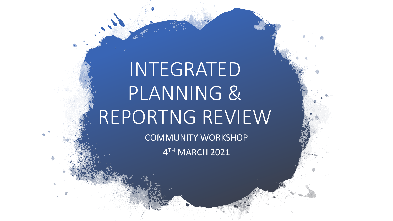# INTEGRATED PLANNING & REPORTNG REVIEW

COMMUNITY WORKSHOP 4 TH MARCH 2021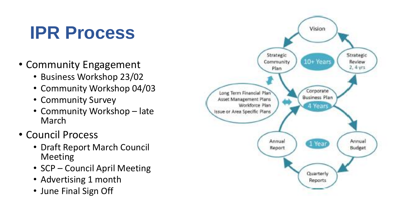### **IPR Process**

- Community Engagement
	- Business Workshop 23/02
	- Community Workshop 04/03
	- Community Survey
	- Community Workshop late March
- Council Process
	- Draft Report March Council Meeting
	- SCP Council April Meeting
	- Advertising 1 month
	- June Final Sign Off

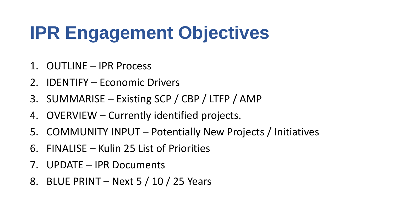## **IPR Engagement Objectives**

- 1. OUTLINE IPR Process
- 2. IDENTIFY Economic Drivers
- 3. SUMMARISE Existing SCP / CBP / LTFP / AMP
- 4. OVERVIEW Currently identified projects.
- 5. COMMUNITY INPUT Potentially New Projects / Initiatives
- 6. FINALISE Kulin 25 List of Priorities
- 7. UPDATE IPR Documents
- 8. BLUE PRINT Next 5 / 10 / 25 Years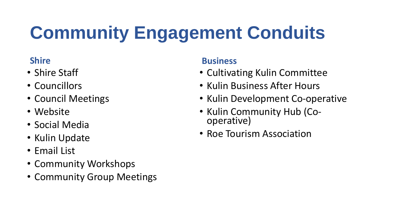# **Community Engagement Conduits**

#### **Shire**

- Shire Staff
- Councillors
- Council Meetings
- Website
- Social Media
- Kulin Update
- Email List
- Community Workshops
- Community Group Meetings

#### **Business**

- Cultivating Kulin Committee
- Kulin Business After Hours
- Kulin Development Co-operative
- Kulin Community Hub (Cooperative)
- Roe Tourism Association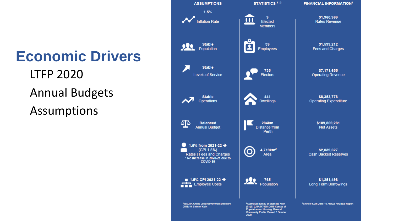#### **Economic Drivers**

LTFP 2020 Annual Budgets Assumptions

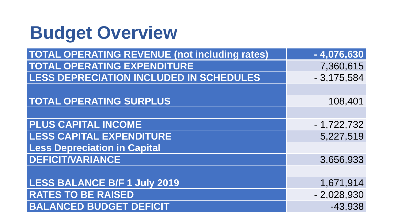## **Budget Overview**

| <b>TOTAL OPERATING REVENUE (not including rates)</b> | $-4,076,630$ |
|------------------------------------------------------|--------------|
| <b>TOTAL OPERATING EXPENDITURE</b>                   | 7,360,615    |
| <b>LESS DEPRECIATION INCLUDED IN SCHEDULES</b>       | $-3,175,584$ |
|                                                      |              |
| <b>TOTAL OPERATING SURPLUS</b>                       | 108,401      |
|                                                      |              |
| <b>PLUS CAPITAL INCOME</b>                           | $-1,722,732$ |
| <b>LESS CAPITAL EXPENDITURE</b>                      | 5,227,519    |
| <b>Less Depreciation in Capital</b>                  |              |
| <b>DEFICIT/VARIANCE</b>                              | 3,656,933    |
|                                                      |              |
| <b>LESS BALANCE B/F 1 July 2019</b>                  | 1,671,914    |
| <b>RATES TO BE RAISED</b>                            | $-2,028,930$ |
| <b>BALANCED BUDGET DEFICIT</b>                       | $-43,938$    |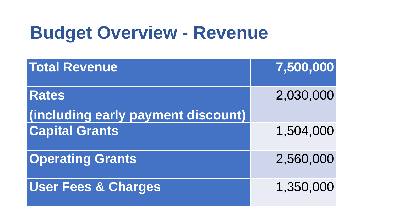## **Budget Overview - Revenue**

| <b>Total Revenue</b>               | 7,500,000 |
|------------------------------------|-----------|
| <b>Rates</b>                       | 2,030,000 |
| (including early payment discount) |           |
| <b>Capital Grants</b>              | 1,504,000 |
| <b>Operating Grants</b>            | 2,560,000 |
| <b>User Fees &amp; Charges</b>     | 1,350,000 |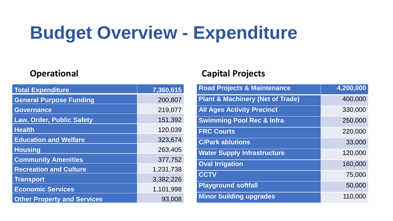## **Budget Overview - Expenditure**

| <b>Total Expenditure</b>           | 7,360,615 |
|------------------------------------|-----------|
| <b>General Purpose Funding</b>     | 200,807   |
| <b>Governance</b>                  | 219,077   |
| Law, Order, Public Safety          | 151,392   |
| <b>Health</b>                      | 120,039   |
| <b>Education and Welfare</b>       | 323,674   |
| <b>Housing</b>                     | 263,405   |
| <b>Community Amenities</b>         | 377,752   |
| <b>Recreation and Culture</b>      | 1,231,738 |
| <b>Transport</b>                   | 3,382,226 |
| <b>Economic Services</b>           | 1,101,998 |
| <b>Other Property and Services</b> | 93,008    |

#### **Operational Capital Projects**

| <b>Road Projects &amp; Maintenance</b>      | 4,200,000 |
|---------------------------------------------|-----------|
| <b>Plant &amp; Machinery (Net of Trade)</b> | 400,000   |
| <b>All Ages Activity Precinct</b>           | 330,000   |
| <b>Swimming Pool Rec &amp; Infra</b>        | 250,000   |
| <b>FRC Courts</b>                           | 220,000   |
| <b>C/Park ablutions</b>                     | 33,000    |
| <b>Water Supply Infrastructure</b>          | 120,000   |
| <b>Oval Irrigation</b>                      | 160,000   |
| <b>CCTV</b>                                 | 75,000    |
| <b>Playground softfall</b>                  | 50,000    |
| <b>Minor building upgrades</b>              | 110,000   |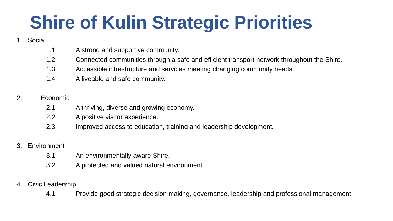## **Shire of Kulin Strategic Priorities**

#### 1. Social

- 1.1 A strong and supportive community.
- 1.2 Connected communities through a safe and efficient transport network throughout the Shire.
- 1.3 Accessible infrastructure and services meeting changing community needs.
- 1.4 A liveable and safe community.

#### 2. Economic

- 2.1 A thriving, diverse and growing economy.
- 2.2 A positive visitor experience.
- 2.3 Improved access to education, training and leadership development.

#### 3. Environment

- 3.1 An environmentally aware Shire.
- 3.2 A protected and valued natural environment.

#### 4. Civic Leadership

4.1 Provide good strategic decision making, governance, leadership and professional management.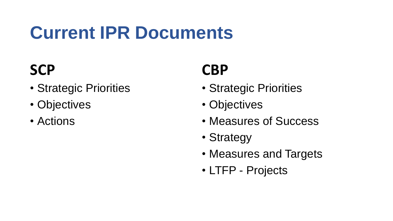## **Current IPR Documents**

### **SCP**

- Strategic Priorities
- Objectives
- Actions

#### **CBP**

- Strategic Priorities
- Objectives
- Measures of Success
- Strategy
- Measures and Targets
- LTFP Projects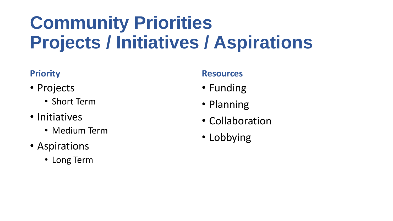## **Community Priorities Projects / Initiatives / Aspirations**

#### **Priority**

- Projects
	- Short Term
- Initiatives
	- Medium Term
- Aspirations
	- Long Term

#### **Resources**

- Funding
- Planning
- Collaboration
- Lobbying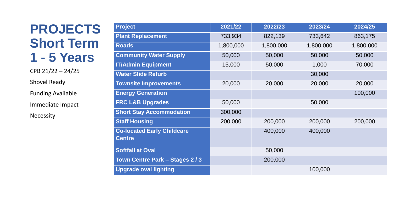#### **PROJECTS Short Term 1 - 5 Years**

CPB 21/22 – 24/25 Shovel Ready Funding Available Immediate Impact Necessity

| <b>Project</b>                                     | 2021/22   | 2022/23   | 2023/24   | 2024/25   |
|----------------------------------------------------|-----------|-----------|-----------|-----------|
| <b>Plant Replacement</b>                           | 733,934   | 822,139   | 733,642   | 863,175   |
| <b>Roads</b>                                       | 1,800,000 | 1,800,000 | 1,800,000 | 1,800,000 |
| <b>Community Water Supply</b>                      | 50,000    | 50,000    | 50,000    | 50,000    |
| <b>IT/Admin Equipment</b>                          | 15,000    | 50,000    | 1,000     | 70,000    |
| <b>Water Slide Refurb</b>                          |           |           | 30,000    |           |
| <b>Townsite Improvements</b>                       | 20,000    | 20,000    | 20,000    | 20,000    |
| <b>Energy Generation</b>                           |           |           |           | 100,000   |
| <b>FRC L&amp;B Upgrades</b>                        | 50,000    |           | 50,000    |           |
| <b>Short Stay Accommodation</b>                    | 300,000   |           |           |           |
| <b>Staff Housing</b>                               | 200,000   | 200,000   | 200,000   | 200,000   |
| <b>Co-located Early Childcare</b><br><b>Centre</b> |           | 400,000   | 400,000   |           |
| <b>Softfall at Oval</b>                            |           | 50,000    |           |           |
| Town Centre Park - Stages 2/3                      |           | 200,000   |           |           |
| <b>Upgrade oval lighting</b>                       |           |           | 100,000   |           |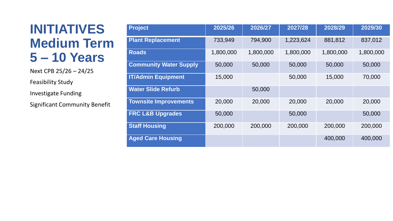#### **INITIATIVES Medium Term 5 – 10 Years**

Next CPB 25/26 – 24/25 Feasibility Study Investigate Funding Significant Community Benefit

| <b>Project</b>                | 2025/26   | 2026/27   | 2027/28   | 2028/29   | 2029/30   |
|-------------------------------|-----------|-----------|-----------|-----------|-----------|
| <b>Plant Replacement</b>      | 733,949   | 794,900   | 1,223,624 | 881,812   | 837,012   |
| <b>Roads</b>                  | 1,800,000 | 1,800,000 | 1,800,000 | 1,800,000 | 1,800,000 |
| <b>Community Water Supply</b> | 50,000    | 50,000    | 50,000    | 50,000    | 50,000    |
| <b>IT/Admin Equipment</b>     | 15,000    |           | 50,000    | 15,000    | 70,000    |
| <b>Water Slide Refurb</b>     |           | 50,000    |           |           |           |
| <b>Townsite Improvements</b>  | 20,000    | 20,000    | 20,000    | 20,000    | 20,000    |
| <b>FRC L&amp;B Upgrades</b>   | 50,000    |           | 50,000    |           | 50,000    |
| <b>Staff Housing</b>          | 200,000   | 200,000   | 200,000   | 200,000   | 200,000   |
| <b>Aged Care Housing</b>      |           |           |           | 400,000   | 400,000   |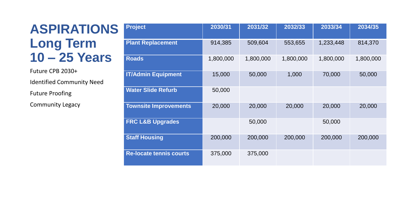#### **ASPIRATIONS Long Term 10 – 25 Years**

Future CPB 2030+ Identified Community Need Future Proofing

Community Legacy

| <b>Project</b>                 | 2030/31   | 2031/32   | 2032/33   | 2033/34   | 2034/35   |
|--------------------------------|-----------|-----------|-----------|-----------|-----------|
| <b>Plant Replacement</b>       | 914,385   | 509,604   | 553,655   | 1,233,448 | 814,370   |
| <b>Roads</b>                   | 1,800,000 | 1,800,000 | 1,800,000 | 1,800,000 | 1,800,000 |
| <b>IT/Admin Equipment</b>      | 15,000    | 50,000    | 1,000     | 70,000    | 50,000    |
| <b>Water Slide Refurb</b>      | 50,000    |           |           |           |           |
| <b>Townsite Improvements</b>   | 20,000    | 20,000    | 20,000    | 20,000    | 20,000    |
| <b>FRC L&amp;B Upgrades</b>    |           | 50,000    |           | 50,000    |           |
| <b>Staff Housing</b>           | 200,000   | 200,000   | 200,000   | 200,000   | 200,000   |
| <b>Re-locate tennis courts</b> | 375,000   | 375,000   |           |           |           |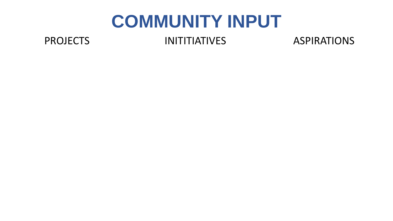#### **COMMUNITY INPUT**

PROJECTS INITITIATIVES ASPIRATIONS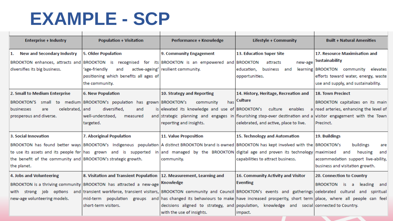### **EXAMPLE - SCP**

| <b>Enterprise + Industry</b>                                  | <b>Population + Visitation</b>                                                                       | Performance + Knowledge                                         | Lifestyle + Community                                                                                                                             | <b>Built + Natural Amenities</b>           |
|---------------------------------------------------------------|------------------------------------------------------------------------------------------------------|-----------------------------------------------------------------|---------------------------------------------------------------------------------------------------------------------------------------------------|--------------------------------------------|
|                                                               |                                                                                                      |                                                                 |                                                                                                                                                   |                                            |
| <b>New and Secondary Industry</b>                             | <b>5. Older Population</b>                                                                           | 9. Community Engagement                                         | 13. Education Super Site                                                                                                                          | 17. Resource Maximisation and              |
|                                                               | BROOKTON enhances, attracts and BROOKTON is recognised for its BROOKTON is an empowered and BROOKTON |                                                                 | attracts<br>new-age                                                                                                                               | <b>Sustainability</b>                      |
| diversifies its big business.                                 | 'age-friendly<br>and                                                                                 | active-ageing' resilient community.                             | business<br>learning<br>education,<br>and                                                                                                         | <b>BROOKTON</b> community<br>elevates      |
|                                                               | positioning which benefits all ages of                                                               |                                                                 | opportunities.                                                                                                                                    | efforts toward water, energy, waste        |
|                                                               | the community.                                                                                       |                                                                 |                                                                                                                                                   | use and supply, and sustainability.        |
| 2. Small to Medium Enterprise                                 | <b>6. New Population</b>                                                                             | 10. Strategy and Reporting                                      | 14. History, Heritage, Recreation and                                                                                                             | <b>18. Town Precinct</b>                   |
|                                                               | BROOKTON'S small to medium BROOKTON's population has grown BROOKTON's                                | has<br>community                                                | Culture                                                                                                                                           | BROOKTON capitalizes on its main           |
| celebrated, and<br>businesses<br>are                          | diversified,<br>and                                                                                  | is elevated its knowledge and use of BROOKTON's culture enables |                                                                                                                                                   | a road arteries, enhancing the level of    |
| prosperous and diverse.                                       | well-understood,<br>measured                                                                         |                                                                 | and strategic planning and engages in flourishing stop-over destination and a visitor engagement with the Town                                    |                                            |
|                                                               | targeted.                                                                                            | reporting and insights.                                         | celebrated, and active, place to live.                                                                                                            | Precinct.                                  |
|                                                               |                                                                                                      |                                                                 |                                                                                                                                                   |                                            |
| 3. Social Innovation                                          | 7. Aboriginal Population                                                                             | 11. Value Proposition                                           | 15. Technology and Automation                                                                                                                     | 19. Buildings                              |
|                                                               |                                                                                                      |                                                                 | BROOKTON has found better ways BROOKTON's Indigenous population A distinct BROOKTON brand is owned BROOKTON has kept involved with the BROOKTON's | buildings<br>are                           |
|                                                               |                                                                                                      |                                                                 | to use its assets and its people for has grown and is supported in and managed by the BROOKTON digital age and proven its technology maximised    | housing<br>and<br>and                      |
| the benefit of the community and BROOKTON's strategic growth. |                                                                                                      | community.                                                      | capabilities to attract business.                                                                                                                 | accommodation support live-ability,        |
| the planet.                                                   |                                                                                                      |                                                                 |                                                                                                                                                   | business and visitation growth.            |
| 4. Jobs and Volunteering                                      | 8. Visitation and Transient Population                                                               | 12. Measurement, Learning and                                   | 16. Community Activity and Visitor                                                                                                                | 20. Connection to Country                  |
|                                                               | BROOKTON is a thriving community BROOKTON has attracted a new-age                                    | Knowledge                                                       | <b>Eventing</b>                                                                                                                                   | <b>BROOKTON</b> is<br>leading<br>a.<br>and |
| strong job options<br>with                                    |                                                                                                      |                                                                 | and transient workforce, transient visitors, BROOKTON community and Council BROOKTON's events and gatherings celebrated cultural and spiritual    |                                            |
| new-age volunteering models.                                  |                                                                                                      |                                                                 | mid-term population groups and has changed its behaviours to make have increased prosperity, short term place, where all people can feel          |                                            |
|                                                               | short-term visitors.                                                                                 |                                                                 | decisions aligned to strategy, and population, knowledge and social connected to Country.                                                         |                                            |
|                                                               |                                                                                                      | with the use of insights.                                       | impact.                                                                                                                                           |                                            |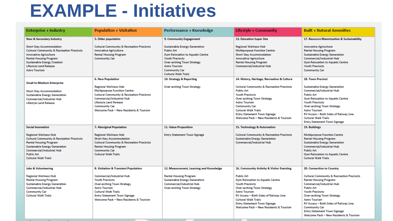### **EXAMPLE - Initiatives**

| <b>Enterprise + Industry</b>                                                                                                                                                                                                                             | <b>Population + Visitation</b>                                                                                                                                                                                                                              | Performance + Knowledge                                                                                                                                                                                                                            | Lifestyle + Community                                                                                                                                                                                                                                                                                         | <b>Built + Natural Amenities</b>                                                                                                                                                                                                                                                                                                                                                  |
|----------------------------------------------------------------------------------------------------------------------------------------------------------------------------------------------------------------------------------------------------------|-------------------------------------------------------------------------------------------------------------------------------------------------------------------------------------------------------------------------------------------------------------|----------------------------------------------------------------------------------------------------------------------------------------------------------------------------------------------------------------------------------------------------|---------------------------------------------------------------------------------------------------------------------------------------------------------------------------------------------------------------------------------------------------------------------------------------------------------------|-----------------------------------------------------------------------------------------------------------------------------------------------------------------------------------------------------------------------------------------------------------------------------------------------------------------------------------------------------------------------------------|
| <b>New &amp; Secondary Industry</b>                                                                                                                                                                                                                      | 5. Older population                                                                                                                                                                                                                                         | 9. Community Engagement                                                                                                                                                                                                                            | 13. Education Super Site                                                                                                                                                                                                                                                                                      | 17. Resource Maximisation & Sustainability                                                                                                                                                                                                                                                                                                                                        |
| <b>Short Stay Accommodation</b><br><b>Cultural Community &amp; Recreation Precincts</b><br><b>Innovative Agriculture</b><br><b>Rental Housing Program</b><br><b>Sustainable Energy Creation</b><br><b>Lifestyle Land Release</b><br><b>Astro Tourism</b> | <b>Cultural Community &amp; Recreation Precincts</b><br><b>Innovative Agriculture</b><br><b>Rental Housing Program</b><br><b>Community Car</b>                                                                                                              | <b>Sustainable Energy Generation</b><br><b>Public Art</b><br><b>Gym Relocation to Aquatic Centre</b><br><b>Youth Precincts</b><br><b>Over-arching Town Strategy</b><br><b>Astro Tourism</b><br><b>Community Car</b><br><b>Cultural Walk Trails</b> | <b>Regional Wellness Hub</b><br><b>Multipurpose Function Centre</b><br><b>Short Stay Accommodation</b><br><b>Innovative Agriculture</b><br><b>Rental Housing Program</b><br>Commercial/Industrial Hub                                                                                                         | <b>Innovative Agriculture</b><br><b>Rental Housing Program</b><br><b>Sustainable Energy Generation</b><br><b>Commercial/Industrial Hub</b><br><b>Gym Relocation to Aquatic Centre</b><br><b>Youth Precincts</b><br><b>Community Car</b>                                                                                                                                           |
| <b>Small to Medium Enterprise</b>                                                                                                                                                                                                                        | <b>6. New Population</b>                                                                                                                                                                                                                                    | 10. Strategy & Reporting                                                                                                                                                                                                                           | 14. History, Heritage, Recreation & Culture                                                                                                                                                                                                                                                                   | <b>18. Town Precinct</b>                                                                                                                                                                                                                                                                                                                                                          |
| <b>Short Stay Accommodation</b><br><b>Sustainable Energy Generation</b><br>Commercial/Industrial Hub<br><b>Lifestyle Land Release</b>                                                                                                                    | <b>Regional Wellness Hub</b><br><b>Multipurpose Function Centre</b><br><b>Cultural Community &amp; Recreation Precincts</b><br>Commercial/Industrial Hub<br><b>Lifestyle Land Release</b><br><b>Community Car</b><br>Welcome Pack - New Residents & Tourism | <b>Over-arching Town Strategy</b>                                                                                                                                                                                                                  | <b>Cultural Community &amp; Recreation Precincts</b><br><b>Public Art</b><br><b>Youth Precincts</b><br><b>Over-arching Town Strategy</b><br><b>Astro Tourism</b><br><b>Community Car</b><br><b>Cultural Walk Trails</b><br><b>Entry Statement Town Signage</b><br>Welcome Pack - New Residents & Tourism      | <b>Sustainable Energy Generation</b><br><b>Commercial/Industrial Hub</b><br><b>Public Art</b><br><b>Gym Relocation to Aquatic Centre</b><br><b>Youth Precincts</b><br><b>Over-arching Town Strategy</b><br><b>Astro Tourism</b><br>RV Access - Both Sides of Railway Line<br><b>Cultural Walk Trails</b><br><b>Entry Statement Town Signage</b>                                   |
| <b>Social Innovation</b>                                                                                                                                                                                                                                 | <b>7. Aboriginal Population</b>                                                                                                                                                                                                                             | <b>11. Value Proposition</b>                                                                                                                                                                                                                       | 15. Technology & Automation                                                                                                                                                                                                                                                                                   | 19. Buildings                                                                                                                                                                                                                                                                                                                                                                     |
| <b>Regional Wellness Hub</b><br><b>Cultural Community &amp; Recreation Precincts</b><br><b>Rental Housing Program</b><br><b>Sustainable Energy Generation</b><br>Commercial/Industrial Hub<br><b>Public Art</b><br><b>Cultural Walk Trails</b>           | <b>Regional Wellness Hub</b><br><b>Short Stay Accommodation</b><br><b>Cultural Community &amp; Recreation Precincts</b><br><b>Rental Housing Program</b><br><b>Community Car</b><br><b>Cultural Walk Trails</b>                                             | <b>Entry Statement Town Signage</b>                                                                                                                                                                                                                | <b>Cultural Community &amp; Recreation Precincts</b><br><b>Sustainable Energy Generation</b><br>Commercial/Industrial Hub                                                                                                                                                                                     | <b>Multipurpose Function Centre</b><br><b>Rental Housing Program</b><br><b>Sustainable Energy Generation</b><br><b>Commercial/Industrial Hub</b><br><b>Public Art</b><br><b>Gym Relocation to Aquatic Centre</b><br><b>Cultural Walk Trails</b>                                                                                                                                   |
| <b>Jobs &amp; Volunteering</b>                                                                                                                                                                                                                           | 8. Visitation & Transient Population                                                                                                                                                                                                                        | 12. Measurement, Learning and Knowledge                                                                                                                                                                                                            | 16. Community Activity & Visitor Eventing                                                                                                                                                                                                                                                                     | 20. Connection to Country                                                                                                                                                                                                                                                                                                                                                         |
| <b>Regional Wellness Hub</b><br><b>Rental Housing Program</b><br><b>Sustainable Energy Generation</b><br><b>Commercial/Industrial Hub</b><br><b>Community Car</b><br><b>Cultural Walk Trails</b>                                                         | Commercial/Industrial Hub<br><b>Youth Precincts</b><br><b>Over-arching Town Strategy</b><br><b>Astro Tourism</b><br><b>Cultural Walk Trails</b><br><b>Entry Statement Town Signage</b><br>Welcome Pack - New Residents & Tourism                            | <b>Rental Housing Program</b><br><b>Sustainable Energy Generation</b><br>Commercial/Industrial Hub<br><b>Over-arching Town Strategy</b>                                                                                                            | <b>Public Art</b><br><b>Gym Relocation to Aquatic Centre</b><br><b>Youth Precincts</b><br><b>Over-arching Town Strategy</b><br><b>Astro Tourism</b><br>RV Access - Both Sides of Railway Line<br><b>Cultural Walk Trails</b><br><b>Entry Statement Town Signage</b><br>Welcome Pack - New Residents & Tourism | <b>Cultural Community &amp; Recreation Precincts</b><br><b>Rental Housing Program</b><br>Commercial/Industrial Hub<br><b>Public Art</b><br><b>Youth Precincts</b><br><b>Over-arching Town Strategy</b><br><b>Astro Tourism</b><br>RV Access - Both Sides of Railway Line<br><b>Community Car</b><br><b>Entry Statement Town Signage</b><br>Welcome Pack - New Residents & Tourism |